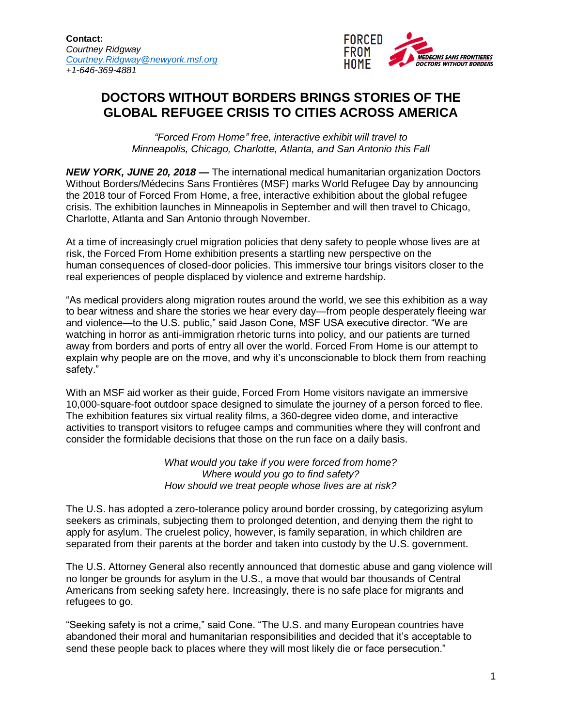

## **DOCTORS WITHOUT BORDERS BRINGS STORIES OF THE GLOBAL REFUGEE CRISIS TO CITIES ACROSS AMERICA**

*"Forced From Home" free, interactive exhibit will travel to Minneapolis, Chicago, Charlotte, Atlanta, and San Antonio this Fall* 

*NEW YORK, JUNE 20, 2018 —* The international medical humanitarian organization Doctors Without Borders/Médecins Sans Frontières (MSF) marks World Refugee Day by announcing the 2018 tour of Forced From Home, a free, interactive exhibition about the global refugee crisis. The exhibition launches in Minneapolis in September and will then travel to Chicago, Charlotte, Atlanta and San Antonio through November.

At a time of increasingly cruel migration policies that deny safety to people whose lives are at risk, the Forced From Home exhibition presents a startling new perspective on the human consequences of closed-door policies. This immersive tour brings visitors closer to the real experiences of people displaced by violence and extreme hardship.

"As medical providers along migration routes around the world, we see this exhibition as a way to bear witness and share the stories we hear every day—from people desperately fleeing war and violence—to the U.S. public," said Jason Cone, MSF USA executive director. "We are watching in horror as anti-immigration rhetoric turns into policy, and our patients are turned away from borders and ports of entry all over the world. Forced From Home is our attempt to explain why people are on the move, and why it's unconscionable to block them from reaching safety."

With an MSF aid worker as their guide, Forced From Home visitors navigate an immersive 10,000-square-foot outdoor space designed to simulate the journey of a person forced to flee. The exhibition features six virtual reality films, a 360-degree video dome, and interactive activities to transport visitors to refugee camps and communities where they will confront and consider the formidable decisions that those on the run face on a daily basis.

> *What would you take if you were forced from home? Where would you go to find safety? How should we treat people whose lives are at risk?*

The U.S. has adopted a zero-tolerance policy around border crossing, by categorizing asylum seekers as criminals, subjecting them to prolonged detention, and denying them the right to apply for asylum. The cruelest policy, however, is family separation, in which children are separated from their parents at the border and taken into custody by the U.S. government.

The U.S. Attorney General also recently announced that domestic abuse and gang violence will no longer be grounds for asylum in the U.S., a move that would bar thousands of Central Americans from seeking safety here. Increasingly, there is no safe place for migrants and refugees to go.

"Seeking safety is not a crime," said Cone. "The U.S. and many European countries have abandoned their moral and humanitarian responsibilities and decided that it's acceptable to send these people back to places where they will most likely die or face persecution."